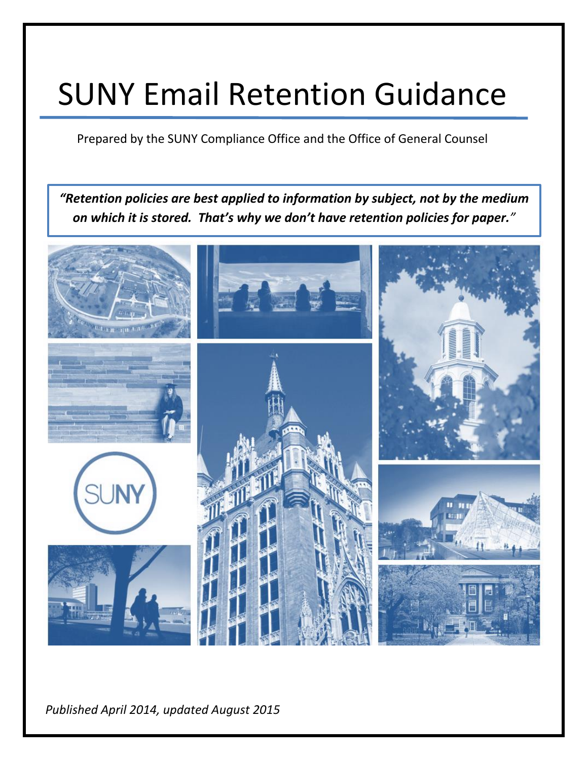# SUNY Email Retention Guidance

Prepared by the SUNY Compliance Office and the Office of General Counsel

*"Retention policies are best applied to information by subject, not by the medium on which it is stored. That's why we don't have retention policies for paper."*



 $\mu$  ished Anril 2014, undated August 2015 *See the [SUNY Compliance website records topic pages](http://system.suny.edu/compliance/topics/records/) for more guidance and resources.* Page | 0 *Published April 2014, updated August 2015*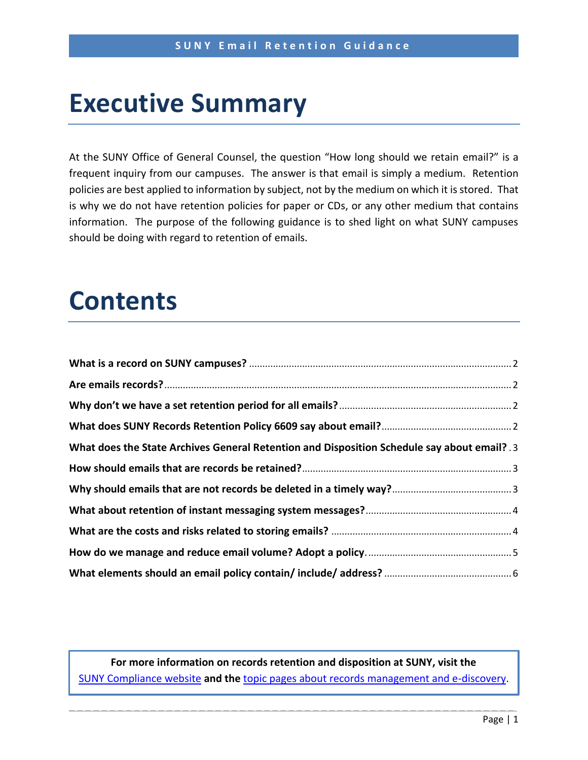# **Executive Summary**

At the SUNY Office of General Counsel, the question "How long should we retain email?" is a frequent inquiry from our campuses. The answer is that email is simply a medium. Retention policies are best applied to information by subject, not by the medium on which it is stored. That is why we do not have retention policies for paper or CDs, or any other medium that contains information. The purpose of the following guidance is to shed light on what SUNY campuses should be doing with regard to retention of emails.

# **Contents**

| What does the State Archives General Retention and Disposition Schedule say about email? 3 |  |
|--------------------------------------------------------------------------------------------|--|
|                                                                                            |  |
|                                                                                            |  |
|                                                                                            |  |
|                                                                                            |  |
|                                                                                            |  |
|                                                                                            |  |

**For more information on records retention and disposition at SUNY, visit the**  [SUNY Compliance website](http://system.suny.edu/compliance) **and the** topic [pages about records management and e-discovery.](http://system.suny.edu/compliance/topics/records/)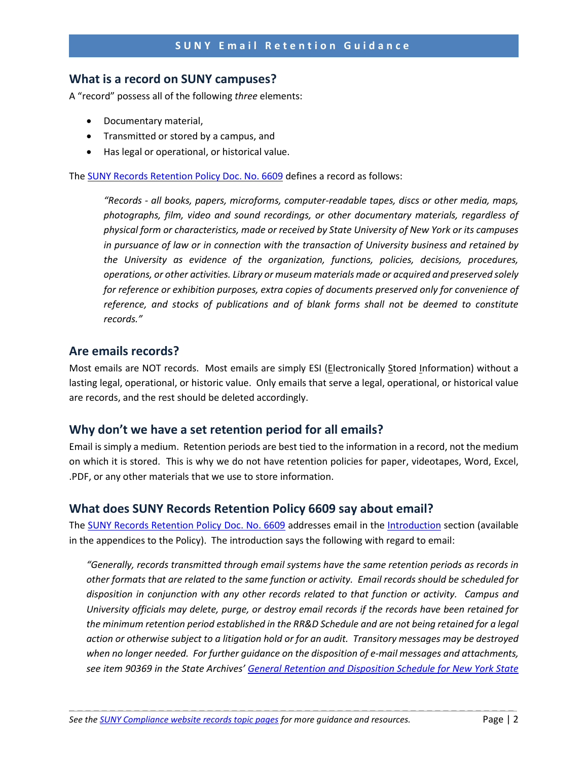#### **What is a record on SUNY campuses?**

A "record" possess all of the following *three* elements:

- Documentary material,
- Transmitted or stored by a campus, and
- Has legal or operational, or historical value.

The [SUNY Records Retention Policy Doc. No. 6609](http://www.suny.edu/sunypp/documents.cfm?doc_id=650) defines a record as follows:

*"Records - all books, papers, microforms, computer-readable tapes, discs or other media, maps, photographs, film, video and sound recordings, or other documentary materials, regardless of physical form or characteristics, made or received by State University of New York or its campuses in pursuance of law or in connection with the transaction of University business and retained by the University as evidence of the organization, functions, policies, decisions, procedures, operations, or other activities. Library or museum materials made or acquired and preserved solely for reference or exhibition purposes, extra copies of documents preserved only for convenience of reference, and stocks of publications and of blank forms shall not be deemed to constitute records."*

#### <span id="page-2-0"></span>**Are emails records?**

Most emails are NOT records. Most emails are simply ESI (Electronically Stored Information) without a lasting legal, operational, or historic value. Only emails that serve a legal, operational, or historical value are records, and the rest should be deleted accordingly.

#### <span id="page-2-1"></span>**Why don't we have a set retention period for all emails?**

Email is simply a medium. Retention periods are best tied to the information in a record, not the medium on which it is stored. This is why we do not have retention policies for paper, videotapes, Word, Excel, .PDF, or any other materials that we use to store information.

#### <span id="page-2-2"></span>**What does SUNY Records Retention Policy 6609 say about email?**

The [SUNY Records Retention Policy Doc. No. 6609](http://www.suny.edu/sunypp/documents.cfm?doc_id=650) addresses email in the [Introduction](http://www.suny.edu/sunypp/lookup.cfm?lookup_id=651) section (available in the appendices to the Policy). The introduction says the following with regard to email:

*"Generally, records transmitted through email systems have the same retention periods as records in other formats that are related to the same function or activity. Email records should be scheduled for disposition in conjunction with any other records related to that function or activity. Campus and University officials may delete, purge, or destroy email records if the records have been retained for the minimum retention period established in the RR&D Schedule and are not being retained for a legal action or otherwise subject to a litigation hold or for an audit. Transitory messages may be destroyed when no longer needed. For further guidance on the disposition of e-mail messages and attachments, see item 90369 in the State Archives' [General Retention and Disposition Schedule for New York State](http://www.archives.nysed.gov/common/archives/files/mr_pub_genschedule.pdf)*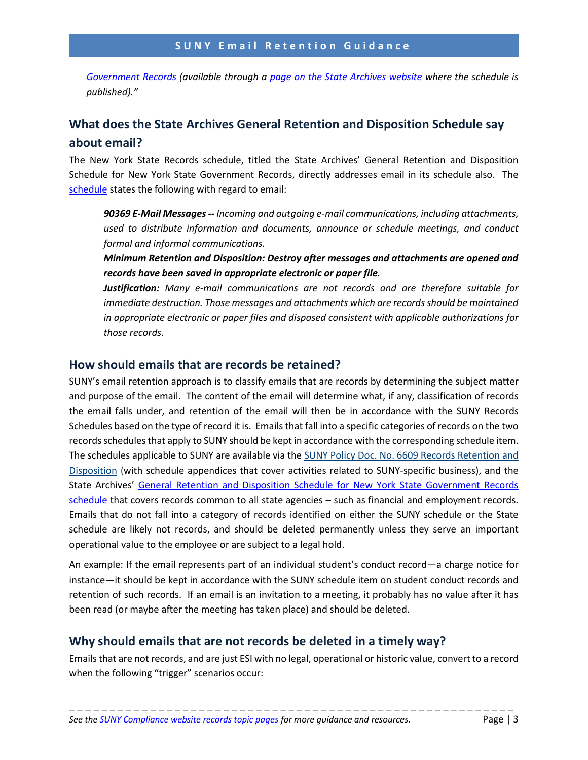*[Government Records](http://www.archives.nysed.gov/common/archives/files/mr_pub_genschedule.pdf) (available through a [page on the State Archives website](http://www.archives.nysed.gov/records/retention_general-schedule) where the schedule is published)."* 

## <span id="page-3-0"></span>**What does the State Archives General Retention and Disposition Schedule say about email?**

The New York State Records schedule, titled the [State Archives'](http://www.archives.nysed.gov/a/records/mr_pub_genschedule.shtml) [General Retention and Disposition](http://www.archives.nysed.gov/a/records/mr_pub_genschedule.shtml)  [Schedule for New York State Government Records,](http://www.archives.nysed.gov/a/records/mr_pub_genschedule.shtml) directly addresses email in its schedule also. The [schedule](http://www.archives.nysed.gov/common/archives/files/mr_pub_genschedule.pdf) states the following with regard to email:

*90369 E-Mail Messages -- Incoming and outgoing e-mail communications, including attachments, used to distribute information and documents, announce or schedule meetings, and conduct formal and informal communications.*

*Minimum Retention and Disposition: Destroy after messages and attachments are opened and records have been saved in appropriate electronic or paper file.*

*Justification: Many e-mail communications are not records and are therefore suitable for immediate destruction. Those messages and attachments which are records should be maintained in appropriate electronic or paper files and disposed consistent with applicable authorizations for those records.*

#### <span id="page-3-1"></span>**How should emails that are records be retained?**

SUNY's email retention approach is to classify emails that are records by determining the subject matter and purpose of the email. The content of the email will determine what, if any, classification of records the email falls under, and retention of the email will then be in accordance with the SUNY Records Schedules based on the type of record it is. Emails that fall into a specific categories of records on the two records schedules that apply to SUNY should be kept in accordance with the corresponding schedule item. The schedules applicable to SUNY are available via the [SUNY Policy Doc. No. 6609 Records Retention and](http://system.suny.edu/templates/sunymain/modules/domainredirect.cfm?domain=public&path=/sunypp/documents.cfm?doc_id=650)  [Disposition](http://system.suny.edu/templates/sunymain/modules/domainredirect.cfm?domain=public&path=/sunypp/documents.cfm?doc_id=650) (with schedule appendices that cover activities related to SUNY-specific business), and the State Archives' [General Retention and Disposition Schedule for New York State Government Records](http://www.archives.nysed.gov/common/archives/files/mr_pub_genschedule.pdf)  [schedule](http://www.archives.nysed.gov/common/archives/files/mr_pub_genschedule.pdf) that covers records common to all state agencies – such as financial and employment records. Emails that do not fall into a category of records identified on either the SUNY schedule or the State schedule are likely not records, and should be deleted permanently unless they serve an important operational value to the employee or are subject to a legal hold.

An example: If the email represents part of an individual student's conduct record—a charge notice for instance—it should be kept in accordance with the SUNY schedule item on student conduct records and retention of such records. If an email is an invitation to a meeting, it probably has no value after it has been read (or maybe after the meeting has taken place) and should be deleted.

#### <span id="page-3-2"></span>**Why should emails that are not records be deleted in a timely way?**

Emails that are not records, and are just ESI with no legal, operational or historic value, convert to a record when the following "trigger" scenarios occur: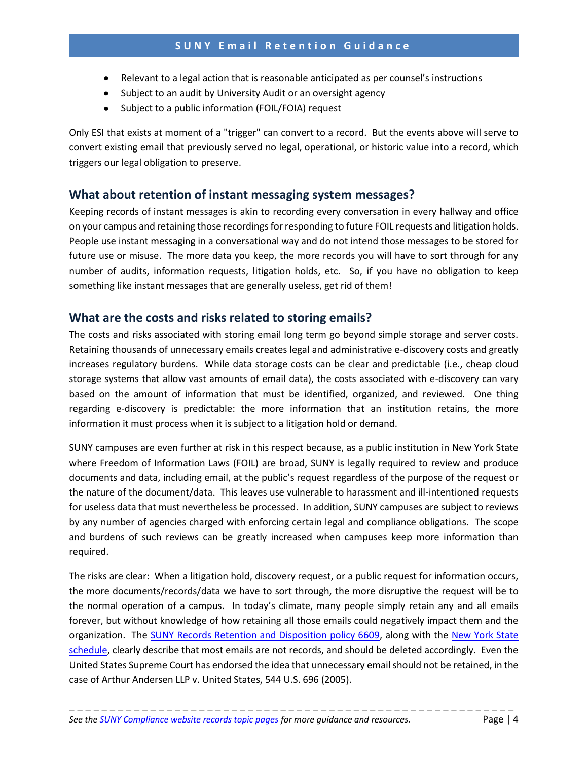#### **SUNY Email Retention Guidance**

- Relevant to a legal action that is reasonable anticipated as per counsel's instructions
- Subject to an audit by University Audit or an oversight agency
- Subject to a public information (FOIL/FOIA) request

Only ESI that exists at moment of a "trigger" can convert to a record. But the events above will serve to convert existing email that previously served no legal, operational, or historic value into a record, which triggers our legal obligation to preserve.

#### <span id="page-4-0"></span>**What about retention of instant messaging system messages?**

Keeping records of instant messages is akin to recording every conversation in every hallway and office on your campus and retaining those recordings for responding to future FOIL requests and litigation holds. People use instant messaging in a conversational way and do not intend those messages to be stored for future use or misuse. The more data you keep, the more records you will have to sort through for any number of audits, information requests, litigation holds, etc. So, if you have no obligation to keep something like instant messages that are generally useless, get rid of them!

#### <span id="page-4-1"></span>**What are the costs and risks related to storing emails?**

The costs and risks associated with storing email long term go beyond simple storage and server costs. Retaining thousands of unnecessary emails creates legal and administrative e-discovery costs and greatly increases regulatory burdens. While data storage costs can be clear and predictable (i.e., cheap cloud storage systems that allow vast amounts of email data), the costs associated with e-discovery can vary based on the amount of information that must be identified, organized, and reviewed. One thing regarding e-discovery is predictable: the more information that an institution retains, the more information it must process when it is subject to a litigation hold or demand.

SUNY campuses are even further at risk in this respect because, as a public institution in New York State where Freedom of Information Laws (FOIL) are broad, SUNY is legally required to review and produce documents and data, including email, at the public's request regardless of the purpose of the request or the nature of the document/data. This leaves use vulnerable to harassment and ill-intentioned requests for useless data that must nevertheless be processed. In addition, SUNY campuses are subject to reviews by any number of agencies charged with enforcing certain legal and compliance obligations. The scope and burdens of such reviews can be greatly increased when campuses keep more information than required.

The risks are clear: When a litigation hold, discovery request, or a public request for information occurs, the more documents/records/data we have to sort through, the more disruptive the request will be to the normal operation of a campus. In today's climate, many people simply retain any and all emails forever, but without knowledge of how retaining all those emails could negatively impact them and the organization. The [SUNY Records Retention and Disposition policy 6609,](http://www.suny.edu/sunypp/documents.cfm?doc_id=650) along with the [New York State](http://www.archives.nysed.gov/common/archives/files/mr_pub_genschedule.pdf)  [schedule,](http://www.archives.nysed.gov/common/archives/files/mr_pub_genschedule.pdf) clearly describe that most emails are not records, and should be deleted accordingly. Even the United States Supreme Court has endorsed the idea that unnecessary email should not be retained, in the case of Arthur Andersen LLP v. United States, 544 U.S. 696 (2005).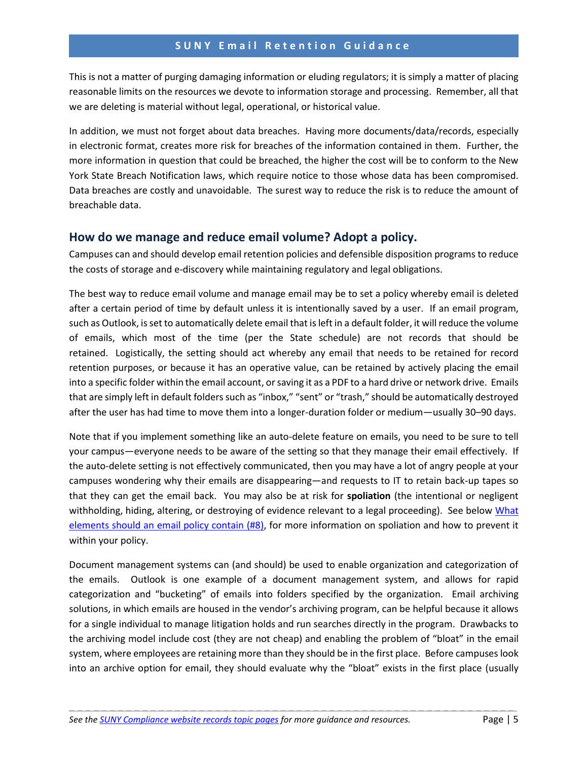This is not a matter of purging damaging information or eluding regulators; it is simply a matter of placing reasonable limits on the resources we devote to information storage and processing. Remember, all that we are deleting is material without legal, operational, or historical value.

In addition, we must not forget about data breaches. Having more documents/data/records, especially in electronic format, creates more risk for breaches of the information contained in them. Further, the more information in question that could be breached, the higher the cost will be to conform to the New York State Breach Notification laws, which require notice to those whose data has been compromised. Data breaches are costly and unavoidable. The surest way to reduce the risk is to reduce the amount of breachable data.

#### <span id="page-5-0"></span>**How do we manage and reduce email volume? Adopt a policy.**

Campuses can and should develop email retention policies and defensible disposition programs to reduce the costs of storage and e-discovery while maintaining regulatory and legal obligations.

The best way to reduce email volume and manage email may be to set a policy whereby email is deleted after a certain period of time by default unless it is intentionally saved by a user. If an email program, such as Outlook, is set to automatically delete email that is left in a default folder, it will reduce the volume of emails, which most of the time (per the State schedule) are not records that should be retained. Logistically, the setting should act whereby any email that needs to be retained for record retention purposes, or because it has an operative value, can be retained by actively placing the email into a specific folder within the email account, or saving it as a PDF to a hard drive or network drive. Emails that are simply left in default folders such as "inbox," "sent" or "trash," should be automatically destroyed after the user has had time to move them into a longer-duration folder or medium—usually 30–90 days.

Note that if you implement something like an auto-delete feature on emails, you need to be sure to tell your campus—everyone needs to be aware of the setting so that they manage their email effectively. If the auto-delete setting is not effectively communicated, then you may have a lot of angry people at your campuses wondering why their emails are disappearing—and requests to IT to retain back-up tapes so that they can get the email back. You may also be at risk for **spoliation** (the intentional or negligent withholding, hiding, altering, or destroying of evidence relevant to a legal proceeding). See below What [elements should an email](#page-6-0) policy contain (#8), for more information on spoliation and how to prevent it within your policy.

Document management systems can (and should) be used to enable organization and categorization of the emails. Outlook is one example of a document management system, and allows for rapid categorization and "bucketing" of emails into folders specified by the organization. Email archiving solutions, in which emails are housed in the vendor's archiving program, can be helpful because it allows for a single individual to manage litigation holds and run searches directly in the program. Drawbacks to the archiving model include cost (they are not cheap) and enabling the problem of "bloat" in the email system, where employees are retaining more than they should be in the first place. Before campuses look into an archive option for email, they should evaluate why the "bloat" exists in the first place (usually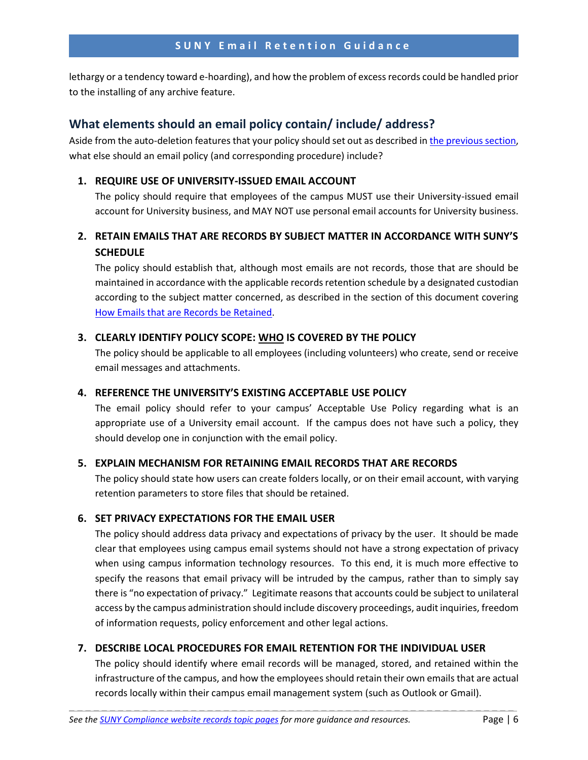lethargy or a tendency toward e-hoarding), and how the problem of excess records could be handled prior to the installing of any archive feature.

#### <span id="page-6-0"></span>**What elements should an email policy contain/ include/ address?**

Aside from the auto-deletion features that your policy should set out as described i[n the previous section,](#page-5-0) what else should an email policy (and corresponding procedure) include?

#### **1. REQUIRE USE OF UNIVERSITY-ISSUED EMAIL ACCOUNT**

The policy should require that employees of the campus MUST use their University-issued email account for University business, and MAY NOT use personal email accounts for University business.

### **2. RETAIN EMAILS THAT ARE RECORDS BY SUBJECT MATTER IN ACCORDANCE WITH SUNY'S SCHEDULE**

The policy should establish that, although most emails are not records, those that are should be maintained in accordance with the applicable records retention schedule by a designated custodian according to the subject matter concerned, as described in the section of this document covering [How Emails that are Records be Retained.](#page-3-1)

#### **3. CLEARLY IDENTIFY POLICY SCOPE: WHO IS COVERED BY THE POLICY**

The policy should be applicable to all employees (including volunteers) who create, send or receive email messages and attachments.

#### **4. REFERENCE THE UNIVERSITY'S EXISTING ACCEPTABLE USE POLICY**

The email policy should refer to your campus' Acceptable Use Policy regarding what is an appropriate use of a University email account. If the campus does not have such a policy, they should develop one in conjunction with the email policy.

#### **5. EXPLAIN MECHANISM FOR RETAINING EMAIL RECORDS THAT ARE RECORDS**

The policy should state how users can create folders locally, or on their email account, with varying retention parameters to store files that should be retained.

#### **6. SET PRIVACY EXPECTATIONS FOR THE EMAIL USER**

The policy should address data privacy and expectations of privacy by the user. It should be made clear that employees using campus email systems should not have a strong expectation of privacy when using campus information technology resources. To this end, it is much more effective to specify the reasons that email privacy will be intruded by the campus, rather than to simply say there is "no expectation of privacy." Legitimate reasons that accounts could be subject to unilateral access by the campus administration should include discovery proceedings, audit inquiries, freedom of information requests, policy enforcement and other legal actions.

#### **7. DESCRIBE LOCAL PROCEDURES FOR EMAIL RETENTION FOR THE INDIVIDUAL USER**

\_ \_ \_ \_ \_ \_ \_ \_ \_ \_ \_ \_ \_ \_ \_ \_ \_ \_ \_ \_ \_ \_ \_ \_ \_ \_ \_ \_ \_ \_ \_ \_ \_ \_ \_ \_ \_ \_ \_ \_ \_ \_ \_ \_ \_ \_ \_ \_ \_ \_ \_ \_ \_ \_ \_

The policy should identify where email records will be managed, stored, and retained within the infrastructure of the campus, and how the employees should retain their own emails that are actual records locally within their campus email management system (such as Outlook or Gmail).